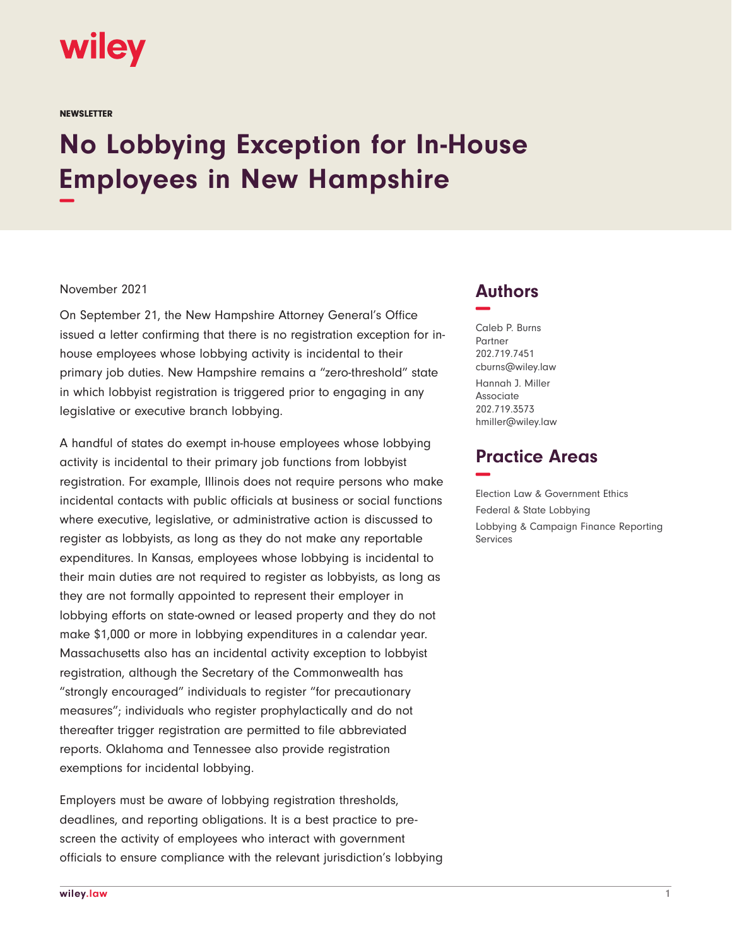

**NEWSLETTER** 

## **No Lobbying Exception for In-House Employees in New Hampshire −**

## November 2021

On September 21, the New Hampshire Attorney General's Office issued a letter confirming that there is no registration exception for inhouse employees whose lobbying activity is incidental to their primary job duties. New Hampshire remains a "zero-threshold" state in which lobbyist registration is triggered prior to engaging in any legislative or executive branch lobbying.

A handful of states do exempt in-house employees whose lobbying activity is incidental to their primary job functions from lobbyist registration. For example, Illinois does not require persons who make incidental contacts with public officials at business or social functions where executive, legislative, or administrative action is discussed to register as lobbyists, as long as they do not make any reportable expenditures. In Kansas, employees whose lobbying is incidental to their main duties are not required to register as lobbyists, as long as they are not formally appointed to represent their employer in lobbying efforts on state-owned or leased property and they do not make \$1,000 or more in lobbying expenditures in a calendar year. Massachusetts also has an incidental activity exception to lobbyist registration, although the Secretary of the Commonwealth has "strongly encouraged" individuals to register "for precautionary measures"; individuals who register prophylactically and do not thereafter trigger registration are permitted to file abbreviated reports. Oklahoma and Tennessee also provide registration exemptions for incidental lobbying.

Employers must be aware of lobbying registration thresholds, deadlines, and reporting obligations. It is a best practice to prescreen the activity of employees who interact with government officials to ensure compliance with the relevant jurisdiction's lobbying

## **Authors −**

Caleb P. Burns Partner 202.719.7451 cburns@wiley.law Hannah J. Miller Associate 202.719.3573 hmiller@wiley.law

## **Practice Areas −**

Election Law & Government Ethics Federal & State Lobbying Lobbying & Campaign Finance Reporting Services